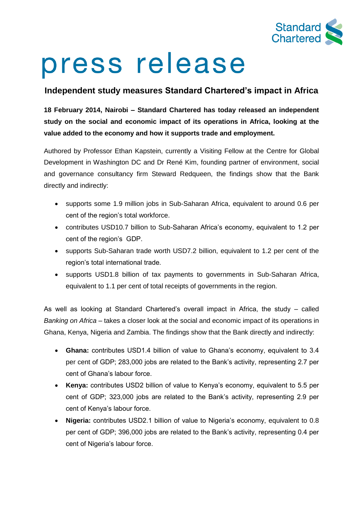

# press release

## **Independent study measures Standard Chartered's impact in Africa**

**18 February 2014, Nairobi – Standard Chartered has today released an independent study on the social and economic impact of its operations in Africa, looking at the value added to the economy and how it supports trade and employment.** 

Authored by Professor Ethan Kapstein, currently a Visiting Fellow at the Centre for Global Development in Washington DC and Dr René Kim, founding partner of environment, social and governance consultancy firm Steward Redqueen, the findings show that the Bank directly and indirectly:

- supports some 1.9 million jobs in Sub-Saharan Africa, equivalent to around 0.6 per cent of the region's total workforce.
- contributes USD10.7 billion to Sub-Saharan Africa's economy, equivalent to 1.2 per cent of the region's GDP.
- supports Sub-Saharan trade worth USD7.2 billion, equivalent to 1.2 per cent of the region's total international trade.
- supports USD1.8 billion of tax payments to governments in Sub-Saharan Africa, equivalent to 1.1 per cent of total receipts of governments in the region.

As well as looking at Standard Chartered's overall impact in Africa, the study – called *Banking on Africa* – takes a closer look at the social and economic impact of its operations in Ghana, Kenya, Nigeria and Zambia. The findings show that the Bank directly and indirectly:

- **Ghana:** contributes USD1.4 billion of value to Ghana's economy, equivalent to 3.4 per cent of GDP; 283,000 jobs are related to the Bank's activity, representing 2.7 per cent of Ghana's labour force.
- **Kenya:** contributes USD2 billion of value to Kenya's economy, equivalent to 5.5 per cent of GDP; 323,000 jobs are related to the Bank's activity, representing 2.9 per cent of Kenya's labour force.
- **Nigeria:** contributes USD2.1 billion of value to Nigeria's economy, equivalent to 0.8 per cent of GDP; 396,000 jobs are related to the Bank's activity, representing 0.4 per cent of Nigeria's labour force.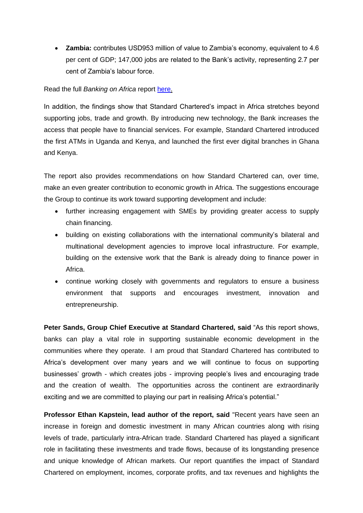**Zambia:** contributes USD953 million of value to Zambia's economy, equivalent to 4.6 per cent of GDP; 147,000 jobs are related to the Bank's activity, representing 2.7 per cent of Zambia's labour force.

### Read the full *Banking on Africa* report [here.](http://www.sc.com/impactAfrica)

In addition, the findings show that Standard Chartered's impact in Africa stretches beyond supporting jobs, trade and growth. By introducing new technology, the Bank increases the access that people have to financial services. For example, Standard Chartered introduced the first ATMs in Uganda and Kenya, and launched the first ever digital branches in Ghana and Kenya.

The report also provides recommendations on how Standard Chartered can, over time, make an even greater contribution to economic growth in Africa. The suggestions encourage the Group to continue its work toward supporting development and include:

- further increasing engagement with SMEs by providing greater access to supply chain financing.
- building on existing collaborations with the international community's bilateral and multinational development agencies to improve local infrastructure. For example, building on the extensive work that the Bank is already doing to finance power in Africa.
- continue working closely with governments and regulators to ensure a business environment that supports and encourages investment, innovation and entrepreneurship.

**Peter Sands, Group Chief Executive at Standard Chartered, said** "As this report shows, banks can play a vital role in supporting sustainable economic development in the communities where they operate. I am proud that Standard Chartered has contributed to Africa's development over many years and we will continue to focus on supporting businesses' growth - which creates jobs - improving people's lives and encouraging trade and the creation of wealth. The opportunities across the continent are extraordinarily exciting and we are committed to playing our part in realising Africa's potential."

**Professor Ethan Kapstein, lead author of the report, said** "Recent years have seen an increase in foreign and domestic investment in many African countries along with rising levels of trade, particularly intra-African trade. Standard Chartered has played a significant role in facilitating these investments and trade flows, because of its longstanding presence and unique knowledge of African markets. Our report quantifies the impact of Standard Chartered on employment, incomes, corporate profits, and tax revenues and highlights the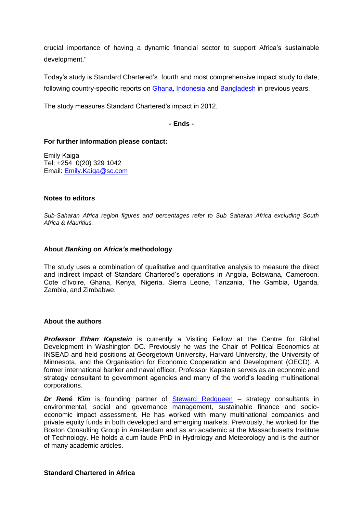crucial importance of having a dynamic financial sector to support Africa's sustainable development."

Today's study is Standard Chartered's fourth and most comprehensive impact study to date, following country-specific reports on [Ghana,](https://www.sc.com/en/resources/global-en/pdf/sustainabilty/Ghana-our_social_and_economic_impact.pdf) [Indonesia](http://www.standardchartered.com/sustainability/news/20101014/en/EIS_Indonesia.PDF) and [Bangladesh](https://www.sc.com/en/resources/global-en/pdf/Research/Bangladesh_social_and_economic_impact_study.pdf) in previous years.

The study measures Standard Chartered's impact in 2012.

**- Ends -**

#### **For further information please contact:**

Emily Kaiga Tel: +254 0(20) 329 1042 Email: [Emily.Kaiga@sc.com](mailto:Emily.Kaiga@sc.com)

#### **Notes to editors**

*Sub-Saharan Africa region figures and percentages refer to Sub Saharan Africa excluding South Africa & Mauritius.*

#### **About** *Banking on Africa's* **methodology**

The study uses a combination of qualitative and quantitative analysis to measure the direct and indirect impact of Standard Chartered's operations in Angola, Botswana, Cameroon, Cote d'Ivoire, Ghana, Kenya, Nigeria, Sierra Leone, Tanzania, The Gambia, Uganda, Zambia, and Zimbabwe.

#### **About the authors**

**Professor Ethan Kapstein** is currently a Visiting Fellow at the Centre for Global Development in Washington DC. Previously he was the Chair of Political Economics at INSEAD and held positions at Georgetown University, Harvard University, the University of Minnesota, and the Organisation for Economic Cooperation and Development (OECD). A former international banker and naval officer, Professor Kapstein serves as an economic and strategy consultant to government agencies and many of the world's leading multinational corporations.

*Dr René Kim* is founding partner of **[Steward Redqueen](http://www.stewardredqueen.com/)** – strategy consultants in environmental, social and governance management, sustainable finance and socioeconomic impact assessment. He has worked with many multinational companies and private equity funds in both developed and emerging markets. Previously, he worked for the Boston Consulting Group in Amsterdam and as an academic at the Massachusetts Institute of Technology. He holds a cum laude PhD in Hydrology and Meteorology and is the author of many academic articles.

#### **Standard Chartered in Africa**